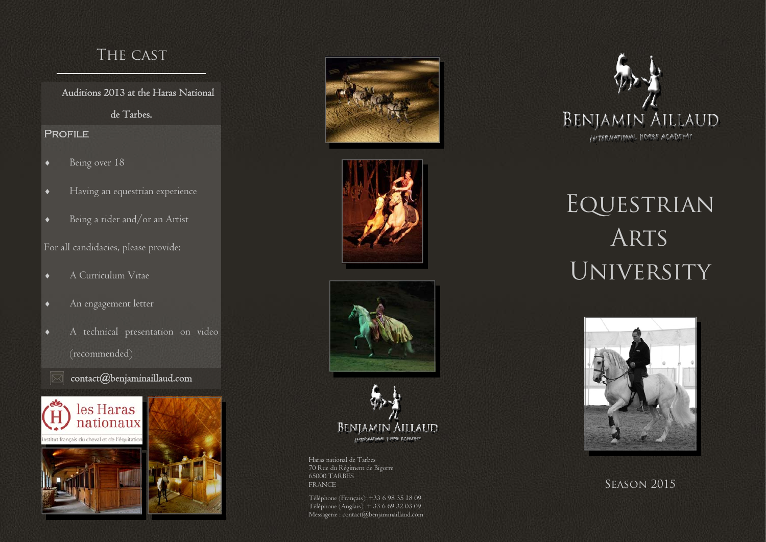# The cast

Auditions 2013 at the Haras National

de Tarbes.

### Profile

- $\bullet$ Being over 18
- $\bullet$ Having an equestrian experience
- $\bullet$ Being a rider and/or an Artist

# For all candidacies, please provide:

- $\bullet$ A Curriculum Vitae
- $\bullet$ An engagement letter
- $\bullet$  A technical presentation on video (recommended)
	- contact@benjaminaillaud.com













Haras national de Tarbes 70 Rue du Régiment de Bigorre 65000 TARBES FRANCE SEASON 2015

Téléphone (Français): +33 6 98 35 18 09 Téléphone (Anglais): + 33 6 69 32 03 09 Messagerie : contact@benjaminaillaud.com



# Equestrian ARTS **UNIVERSITY**